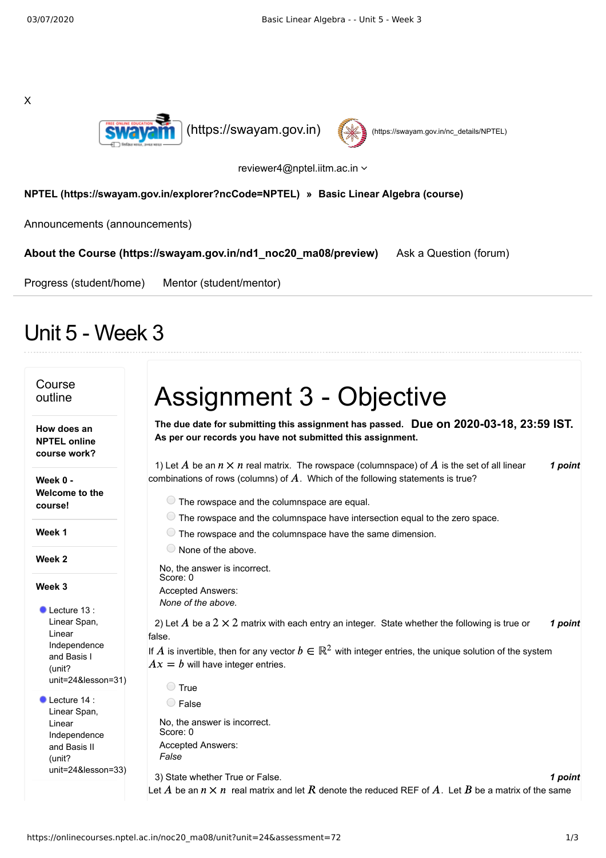



reviewer4@nptel.iitm.ac.in

## **[NPTEL \(https://swayam.gov.in/explorer?ncCode=NPTEL\)](https://swayam.gov.in/explorer?ncCode=NPTEL) » [Basic Linear Algebra \(course\)](https://onlinecourses.nptel.ac.in/noc20_ma08/course)**

[Announcements \(announcements\)](https://onlinecourses.nptel.ac.in/noc20_ma08/announcements)

**[About the Course \(https://swayam.gov.in/nd1\\_noc20\\_ma08/preview\)](https://swayam.gov.in/nd1_noc20_ma08/preview)** [Ask a Question \(forum\)](https://onlinecourses.nptel.ac.in/noc20_ma08/forum)

[Progress \(student/home\)](https://onlinecourses.nptel.ac.in/noc20_ma08/student/home) [Mentor \(student/mentor\)](https://onlinecourses.nptel.ac.in/noc20_ma08/student/mentor)

## Unit 5 - Week 3

| Course<br>outline                                  | <b>Assignment 3 - Objective</b>                                                                                                                                                                    |
|----------------------------------------------------|----------------------------------------------------------------------------------------------------------------------------------------------------------------------------------------------------|
| How does an<br><b>NPTEL online</b><br>course work? | The due date for submitting this assignment has passed. Due on 2020-03-18, 23:59 IST.<br>As per our records you have not submitted this assignment.                                                |
| Week 0 -                                           | 1) Let A be an $n \times n$ real matrix. The rowspace (columnspace) of A is the set of all linear<br>1 point<br>combinations of rows (columns) of $A$ . Which of the following statements is true? |
| Welcome to the<br>course!                          | $\circ$ The rowspace and the columnspace are equal.                                                                                                                                                |
|                                                    | $\circlearrowright$ The rowspace and the columnspace have intersection equal to the zero space.                                                                                                    |
| Week 1                                             | $\bullet$ The rowspace and the columnspace have the same dimension.                                                                                                                                |
|                                                    | $\circ$ None of the above.                                                                                                                                                                         |
| Week 2                                             | No, the answer is incorrect.                                                                                                                                                                       |
| Week 3                                             | Score: 0                                                                                                                                                                                           |
|                                                    | Accepted Answers:                                                                                                                                                                                  |
| $\bullet$ Lecture 13:                              | None of the above.                                                                                                                                                                                 |
| Linear Span,                                       | 2) Let A be a $2 \times 2$ matrix with each entry an integer. State whether the following is true or<br>1 point                                                                                    |
| Linear                                             | false.                                                                                                                                                                                             |
| Independence<br>and Basis I<br>(unit?              | If A is invertible, then for any vector $b \in \mathbb{R}^2$ with integer entries, the unique solution of the system<br>$Ax = b$ will have integer entries.                                        |
| unit=24&lesson=31)                                 | ◯ True                                                                                                                                                                                             |
| Lecture 14:                                        | $\bigcirc$ False                                                                                                                                                                                   |
| Linear Span,<br>Linear                             | No, the answer is incorrect.                                                                                                                                                                       |
| Independence                                       | Score: 0                                                                                                                                                                                           |
| and Basis II                                       | Accepted Answers:                                                                                                                                                                                  |
| (unit?                                             | False                                                                                                                                                                                              |
| $unit = 24$ &lesson=33)                            | 3) State whether True or False.<br>1 point                                                                                                                                                         |
|                                                    | Let A be an $n \times n$ real matrix and let R denote the reduced REF of A. Let B be a matrix of the same                                                                                          |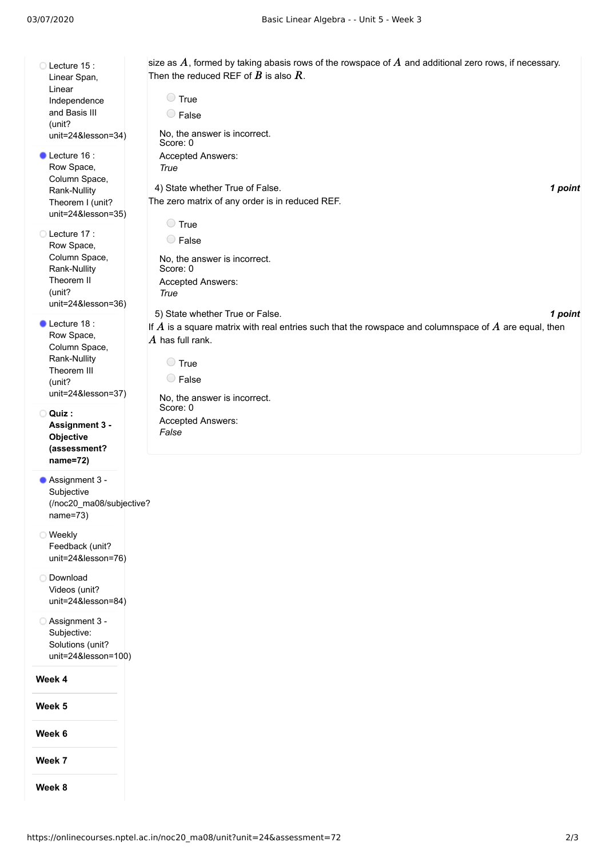Lecture 15: Linear Span, Linear Independence and Basis III (unit? [unit=24&lesson=34\)](https://onlinecourses.nptel.ac.in/noc20_ma08/unit?unit=24&lesson=34) Lecture 16 : Row Space, Column Space, Rank-Nullity Theorem I (unit? [unit=24&lesson=35\)](https://onlinecourses.nptel.ac.in/noc20_ma08/unit?unit=24&lesson=35) Lecture 17: Row Space, Column Space, Rank-Nullity Theorem II (unit? [unit=24&lesson=36\)](https://onlinecourses.nptel.ac.in/noc20_ma08/unit?unit=24&lesson=36) Lecture 18: Row Space, Column Space, Rank-Nullity Theorem III (unit? [unit=24&lesson=37\)](https://onlinecourses.nptel.ac.in/noc20_ma08/unit?unit=24&lesson=37) **Quiz : Assignment 3 - Objective [\(assessment?](https://onlinecourses.nptel.ac.in/noc20_ma08/assessment?name=72) name=72)** Assignment 3 - Subjective [\(/noc20\\_ma08/subjective?](https://onlinecourses.nptel.ac.in/noc20_ma08/subjective?name=73) 4) *1 point* State whether True of False. 5) *1 point* State whether True or False. size as  $A$ , formed by taking abasis rows of the rowspace of  $A$  and additional zero rows, if necessary. Then the reduced REF of  $\overline{B}$  is also  $\overline{R}$ .  $\bigcirc$  True False No, the answer is incorrect. Score: 0 Accepted Answers: *True* The zero matrix of any order is in reduced REF. **O** True False No, the answer is incorrect. Score: 0 Accepted Answers: *True* If  $\overline{A}$  is a square matrix with real entries such that the rowspace and columnspace of  $\overline{A}$  are equal, then  $\overline{A}$  has full rank. **O** True False No, the answer is incorrect. Score: 0 Accepted Answers: *False*

name=73) Weekly Feedback (unit? [unit=24&lesson=76\)](https://onlinecourses.nptel.ac.in/noc20_ma08/unit?unit=24&lesson=76)

Download Videos (unit? [unit=24&lesson=84\)](https://onlinecourses.nptel.ac.in/noc20_ma08/unit?unit=24&lesson=84)

Assignment 3 - Subjective: Solutions (unit? [unit=24&lesson=100\)](https://onlinecourses.nptel.ac.in/noc20_ma08/unit?unit=24&lesson=100)

**Week 4**

**Week 5**

**Week 6**

**Week 7**

**Week 8**